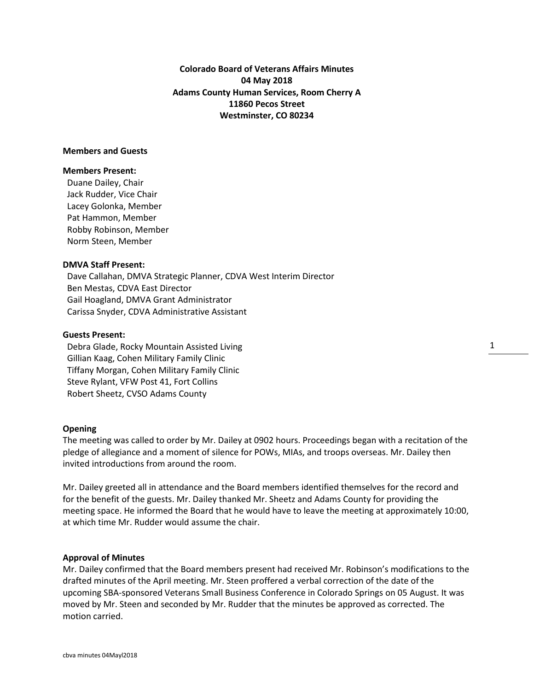**Colorado Board of Veterans Affairs Minutes 04 May 2018 Adams County Human Services, Room Cherry A 11860 Pecos Street Westminster, CO 80234**

# **Members and Guests**

#### **Members Present:**

Duane Dailey, Chair Jack Rudder, Vice Chair Lacey Golonka, Member Pat Hammon, Member Robby Robinson, Member Norm Steen, Member

#### **DMVA Staff Present:**

 Dave Callahan, DMVA Strategic Planner, CDVA West Interim Director Ben Mestas, CDVA East Director Gail Hoagland, DMVA Grant Administrator Carissa Snyder, CDVA Administrative Assistant

# **Guests Present:**

Debra Glade, Rocky Mountain Assisted Living Gillian Kaag, Cohen Military Family Clinic Tiffany Morgan, Cohen Military Family Clinic Steve Rylant, VFW Post 41, Fort Collins Robert Sheetz, CVSO Adams County

### **Opening**

The meeting was called to order by Mr. Dailey at 0902 hours. Proceedings began with a recitation of the pledge of allegiance and a moment of silence for POWs, MIAs, and troops overseas. Mr. Dailey then invited introductions from around the room.

Mr. Dailey greeted all in attendance and the Board members identified themselves for the record and for the benefit of the guests. Mr. Dailey thanked Mr. Sheetz and Adams County for providing the meeting space. He informed the Board that he would have to leave the meeting at approximately 10:00, at which time Mr. Rudder would assume the chair.

## **Approval of Minutes**

Mr. Dailey confirmed that the Board members present had received Mr. Robinson's modifications to the drafted minutes of the April meeting. Mr. Steen proffered a verbal correction of the date of the upcoming SBA-sponsored Veterans Small Business Conference in Colorado Springs on 05 August. It was moved by Mr. Steen and seconded by Mr. Rudder that the minutes be approved as corrected. The motion carried.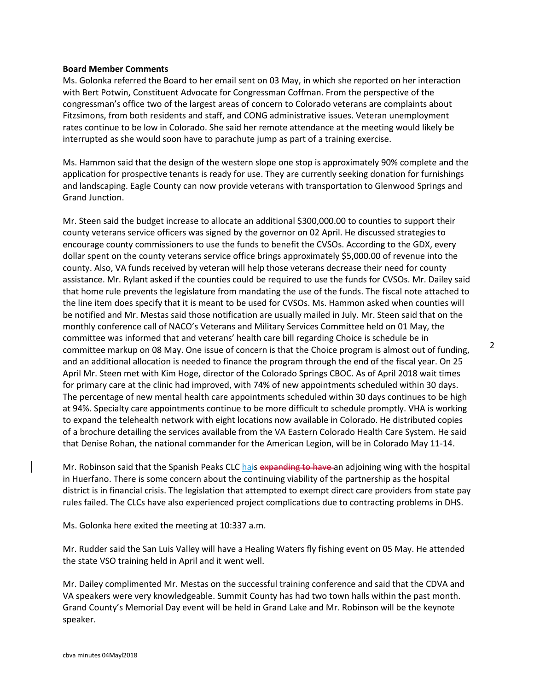## **Board Member Comments**

Ms. Golonka referred the Board to her email sent on 03 May, in which she reported on her interaction with Bert Potwin, Constituent Advocate for Congressman Coffman. From the perspective of the congressman's office two of the largest areas of concern to Colorado veterans are complaints about Fitzsimons, from both residents and staff, and CONG administrative issues. Veteran unemployment rates continue to be low in Colorado. She said her remote attendance at the meeting would likely be interrupted as she would soon have to parachute jump as part of a training exercise.

Ms. Hammon said that the design of the western slope one stop is approximately 90% complete and the application for prospective tenants is ready for use. They are currently seeking donation for furnishings and landscaping. Eagle County can now provide veterans with transportation to Glenwood Springs and Grand Junction.

Mr. Steen said the budget increase to allocate an additional \$300,000.00 to counties to support their county veterans service officers was signed by the governor on 02 April. He discussed strategies to encourage county commissioners to use the funds to benefit the CVSOs. According to the GDX, every dollar spent on the county veterans service office brings approximately \$5,000.00 of revenue into the county. Also, VA funds received by veteran will help those veterans decrease their need for county assistance. Mr. Rylant asked if the counties could be required to use the funds for CVSOs. Mr. Dailey said that home rule prevents the legislature from mandating the use of the funds. The fiscal note attached to the line item does specify that it is meant to be used for CVSOs. Ms. Hammon asked when counties will be notified and Mr. Mestas said those notification are usually mailed in July. Mr. Steen said that on the monthly conference call of NACO's Veterans and Military Services Committee held on 01 May, the committee was informed that and veterans' health care bill regarding Choice is schedule be in committee markup on 08 May. One issue of concern is that the Choice program is almost out of funding, and an additional allocation is needed to finance the program through the end of the fiscal year. On 25 April Mr. Steen met with Kim Hoge, director of the Colorado Springs CBOC. As of April 2018 wait times for primary care at the clinic had improved, with 74% of new appointments scheduled within 30 days. The percentage of new mental health care appointments scheduled within 30 days continues to be high at 94%. Specialty care appointments continue to be more difficult to schedule promptly. VHA is working to expand the telehealth network with eight locations now available in Colorado. He distributed copies of a brochure detailing the services available from the VA Eastern Colorado Health Care System. He said that Denise Rohan, the national commander for the American Legion, will be in Colorado May 11-14.

Mr. Robinson said that the Spanish Peaks CLC hais expanding to have an adjoining wing with the hospital in Huerfano. There is some concern about the continuing viability of the partnership as the hospital district is in financial crisis. The legislation that attempted to exempt direct care providers from state pay rules failed. The CLCs have also experienced project complications due to contracting problems in DHS.

Ms. Golonka here exited the meeting at 10:337 a.m.

Mr. Rudder said the San Luis Valley will have a Healing Waters fly fishing event on 05 May. He attended the state VSO training held in April and it went well.

Mr. Dailey complimented Mr. Mestas on the successful training conference and said that the CDVA and VA speakers were very knowledgeable. Summit County has had two town halls within the past month. Grand County's Memorial Day event will be held in Grand Lake and Mr. Robinson will be the keynote speaker.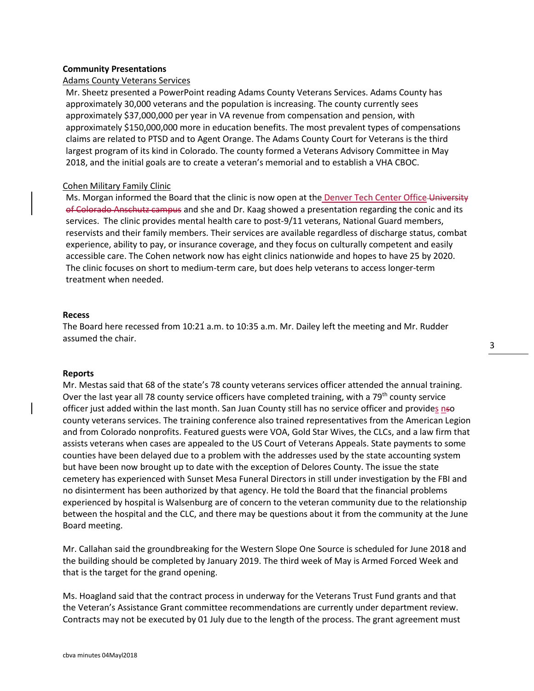### **Community Presentations**

# Adams County Veterans Services

Mr. Sheetz presented a PowerPoint reading Adams County Veterans Services. Adams County has approximately 30,000 veterans and the population is increasing. The county currently sees approximately \$37,000,000 per year in VA revenue from compensation and pension, with approximately \$150,000,000 more in education benefits. The most prevalent types of compensations claims are related to PTSD and to Agent Orange. The Adams County Court for Veterans is the third largest program of its kind in Colorado. The county formed a Veterans Advisory Committee in May 2018, and the initial goals are to create a veteran's memorial and to establish a VHA CBOC.

## Cohen Military Family Clinic

Ms. Morgan informed the Board that the clinic is now open at the Denver Tech Center Office University of Colorado Anschutz campus and she and Dr. Kaag showed a presentation regarding the conic and its services. The clinic provides mental health care to post-9/11 veterans, National Guard members, reservists and their family members. Their services are available regardless of discharge status, combat experience, ability to pay, or insurance coverage, and they focus on culturally competent and easily accessible care. The Cohen network now has eight clinics nationwide and hopes to have 25 by 2020. The clinic focuses on short to medium-term care, but does help veterans to access longer-term treatment when needed.

### **Recess**

The Board here recessed from 10:21 a.m. to 10:35 a.m. Mr. Dailey left the meeting and Mr. Rudder assumed the chair.

# **Reports**

Mr. Mestas said that 68 of the state's 78 county veterans services officer attended the annual training. Over the last year all 78 county service officers have completed training, with a 79<sup>th</sup> county service officer just added within the last month. San Juan County still has no service officer and provides nso county veterans services. The training conference also trained representatives from the American Legion and from Colorado nonprofits. Featured guests were VOA, Gold Star Wives, the CLCs, and a law firm that assists veterans when cases are appealed to the US Court of Veterans Appeals. State payments to some counties have been delayed due to a problem with the addresses used by the state accounting system but have been now brought up to date with the exception of Delores County. The issue the state cemetery has experienced with Sunset Mesa Funeral Directors in still under investigation by the FBI and no disinterment has been authorized by that agency. He told the Board that the financial problems experienced by hospital is Walsenburg are of concern to the veteran community due to the relationship between the hospital and the CLC, and there may be questions about it from the community at the June Board meeting.

Mr. Callahan said the groundbreaking for the Western Slope One Source is scheduled for June 2018 and the building should be completed by January 2019. The third week of May is Armed Forced Week and that is the target for the grand opening.

Ms. Hoagland said that the contract process in underway for the Veterans Trust Fund grants and that the Veteran's Assistance Grant committee recommendations are currently under department review. Contracts may not be executed by 01 July due to the length of the process. The grant agreement must